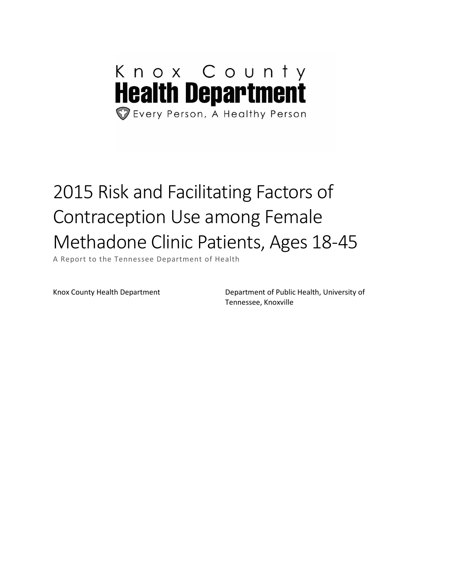# Knox County **Health Department** Every Person, A Healthy Person

# 2015 Risk and Facilitating Factors of Contraception Use among Female Methadone Clinic Patients, Ages 18-45

A Report to the Tennessee Department of Health

Knox County Health Department Department Department of Public Health, University of Tennessee, Knoxville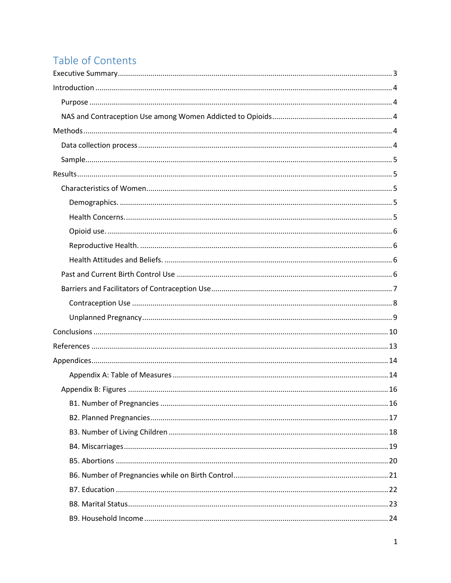# Table of Contents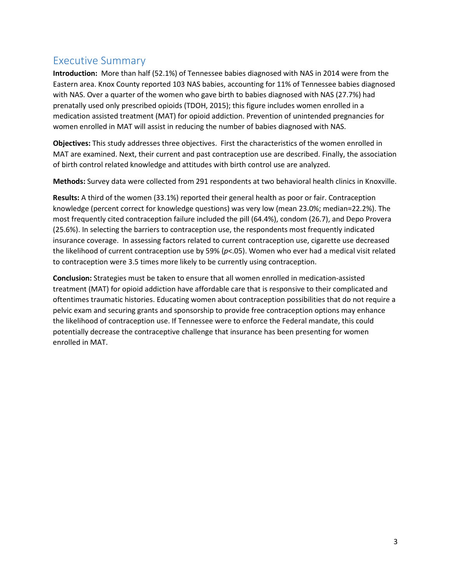## <span id="page-3-0"></span>Executive Summary

**Introduction:** More than half (52.1%) of Tennessee babies diagnosed with NAS in 2014 were from the Eastern area. Knox County reported 103 NAS babies, accounting for 11% of Tennessee babies diagnosed with NAS. Over a quarter of the women who gave birth to babies diagnosed with NAS (27.7%) had prenatally used only prescribed opioids (TDOH, 2015); this figure includes women enrolled in a medication assisted treatment (MAT) for opioid addiction. Prevention of unintended pregnancies for women enrolled in MAT will assist in reducing the number of babies diagnosed with NAS.

**Objectives:** This study addresses three objectives. First the characteristics of the women enrolled in MAT are examined. Next, their current and past contraception use are described. Finally, the association of birth control related knowledge and attitudes with birth control use are analyzed.

**Methods:** Survey data were collected from 291 respondents at two behavioral health clinics in Knoxville.

**Results:** A third of the women (33.1%) reported their general health as poor or fair. Contraception knowledge (percent correct for knowledge questions) was very low (mean 23.0%; median=22.2%). The most frequently cited contraception failure included the pill (64.4%), condom (26.7), and Depo Provera (25.6%). In selecting the barriers to contraception use, the respondents most frequently indicated insurance coverage. In assessing factors related to current contraception use, cigarette use decreased the likelihood of current contraception use by 59% (*p*<.05). Women who ever had a medical visit related to contraception were 3.5 times more likely to be currently using contraception.

**Conclusion:** Strategies must be taken to ensure that all women enrolled in medication-assisted treatment (MAT) for opioid addiction have affordable care that is responsive to their complicated and oftentimes traumatic histories. Educating women about contraception possibilities that do not require a pelvic exam and securing grants and sponsorship to provide free contraception options may enhance the likelihood of contraception use. If Tennessee were to enforce the Federal mandate, this could potentially decrease the contraceptive challenge that insurance has been presenting for women enrolled in MAT.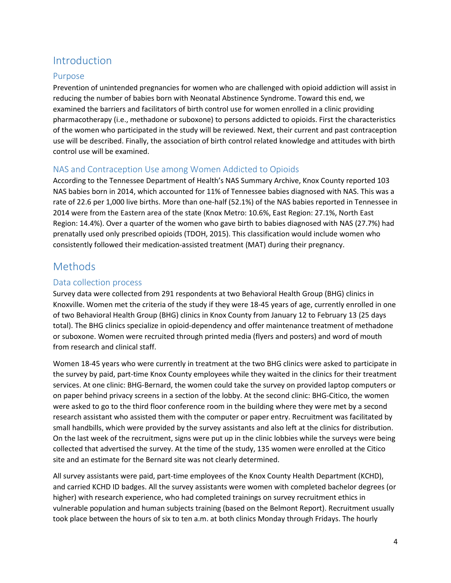## <span id="page-4-0"></span>Introduction

#### <span id="page-4-1"></span>Purpose

Prevention of unintended pregnancies for women who are challenged with opioid addiction will assist in reducing the number of babies born with Neonatal Abstinence Syndrome. Toward this end, we examined the barriers and facilitators of birth control use for women enrolled in a clinic providing pharmacotherapy (i.e., methadone or suboxone) to persons addicted to opioids. First the characteristics of the women who participated in the study will be reviewed. Next, their current and past contraception use will be described. Finally, the association of birth control related knowledge and attitudes with birth control use will be examined.

## <span id="page-4-2"></span>NAS and Contraception Use among Women Addicted to Opioids

According to the Tennessee Department of Health's NAS Summary Archive, Knox County reported 103 NAS babies born in 2014, which accounted for 11% of Tennessee babies diagnosed with NAS. This was a rate of 22.6 per 1,000 live births. More than one-half (52.1%) of the NAS babies reported in Tennessee in 2014 were from the Eastern area of the state (Knox Metro: 10.6%, East Region: 27.1%, North East Region: 14.4%). Over a quarter of the women who gave birth to babies diagnosed with NAS (27.7%) had prenatally used only prescribed opioids (TDOH, 2015). This classification would include women who consistently followed their medication-assisted treatment (MAT) during their pregnancy.

## <span id="page-4-3"></span>Methods

## <span id="page-4-4"></span>Data collection process

Survey data were collected from 291 respondents at two Behavioral Health Group (BHG) clinics in Knoxville. Women met the criteria of the study if they were 18-45 years of age, currently enrolled in one of two Behavioral Health Group (BHG) clinics in Knox County from January 12 to February 13 (25 days total). The BHG clinics specialize in opioid-dependency and offer maintenance treatment of methadone or suboxone. Women were recruited through printed media (flyers and posters) and word of mouth from research and clinical staff.

Women 18-45 years who were currently in treatment at the two BHG clinics were asked to participate in the survey by paid, part-time Knox County employees while they waited in the clinics for their treatment services. At one clinic: BHG-Bernard, the women could take the survey on provided laptop computers or on paper behind privacy screens in a section of the lobby. At the second clinic: BHG-Citico, the women were asked to go to the third floor conference room in the building where they were met by a second research assistant who assisted them with the computer or paper entry. Recruitment was facilitated by small handbills, which were provided by the survey assistants and also left at the clinics for distribution. On the last week of the recruitment, signs were put up in the clinic lobbies while the surveys were being collected that advertised the survey. At the time of the study, 135 women were enrolled at the Citico site and an estimate for the Bernard site was not clearly determined.

All survey assistants were paid, part-time employees of the Knox County Health Department (KCHD), and carried KCHD ID badges. All the survey assistants were women with completed bachelor degrees (or higher) with research experience, who had completed trainings on survey recruitment ethics in vulnerable population and human subjects training (based on the Belmont Report). Recruitment usually took place between the hours of six to ten a.m. at both clinics Monday through Fridays. The hourly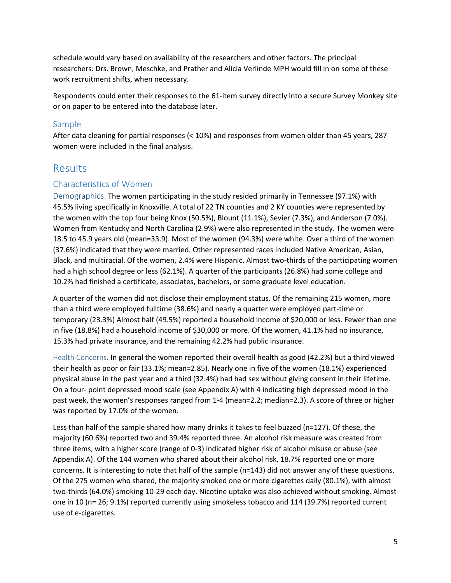schedule would vary based on availability of the researchers and other factors. The principal researchers: Drs. Brown, Meschke, and Prather and Alicia Verlinde MPH would fill in on some of these work recruitment shifts, when necessary.

Respondents could enter their responses to the 61-item survey directly into a secure Survey Monkey site or on paper to be entered into the database later.

#### <span id="page-5-0"></span>Sample

After data cleaning for partial responses (< 10%) and responses from women older than 45 years, 287 women were included in the final analysis.

## <span id="page-5-1"></span>Results

#### <span id="page-5-2"></span>Characteristics of Women

<span id="page-5-3"></span>Demographics. The women participating in the study resided primarily in Tennessee (97.1%) with 45.5% living specifically in Knoxville. A total of 22 TN counties and 2 KY counties were represented by the women with the top four being Knox (50.5%), Blount (11.1%), Sevier (7.3%), and Anderson (7.0%). Women from Kentucky and North Carolina (2.9%) were also represented in the study. The women were 18.5 to 45.9 years old (mean=33.9). Most of the women (94.3%) were white. Over a third of the women (37.6%) indicated that they were married. Other represented races included Native American, Asian, Black, and multiracial. Of the women, 2.4% were Hispanic. Almost two-thirds of the participating women had a high school degree or less (62.1%). A quarter of the participants (26.8%) had some college and 10.2% had finished a certificate, associates, bachelors, or some graduate level education.

A quarter of the women did not disclose their employment status. Of the remaining 215 women, more than a third were employed fulltime (38.6%) and nearly a quarter were employed part-time or temporary (23.3%) Almost half (49.5%) reported a household income of \$20,000 or less. Fewer than one in five (18.8%) had a household income of \$30,000 or more. Of the women, 41.1% had no insurance, 15.3% had private insurance, and the remaining 42.2% had public insurance.

<span id="page-5-4"></span>Health Concerns. In general the women reported their overall health as good (42.2%) but a third viewed their health as poor or fair (33.1%; mean=2.85). Nearly one in five of the women (18.1%) experienced physical abuse in the past year and a third (32.4%) had had sex without giving consent in their lifetime. On a four- point depressed mood scale (see Appendix A) with 4 indicating high depressed mood in the past week, the women's responses ranged from 1-4 (mean=2.2; median=2.3). A score of three or higher was reported by 17.0% of the women.

Less than half of the sample shared how many drinks it takes to feel buzzed (n=127). Of these, the majority (60.6%) reported two and 39.4% reported three. An alcohol risk measure was created from three items, with a higher score (range of 0-3) indicated higher risk of alcohol misuse or abuse (see Appendix A). Of the 144 women who shared about their alcohol risk, 18.7% reported one or more concerns. It is interesting to note that half of the sample (n=143) did not answer any of these questions. Of the 275 women who shared, the majority smoked one or more cigarettes daily (80.1%), with almost two-thirds (64.0%) smoking 10-29 each day. Nicotine uptake was also achieved without smoking. Almost one in 10 (n= 26; 9.1%) reported currently using smokeless tobacco and 114 (39.7%) reported current use of e-cigarettes.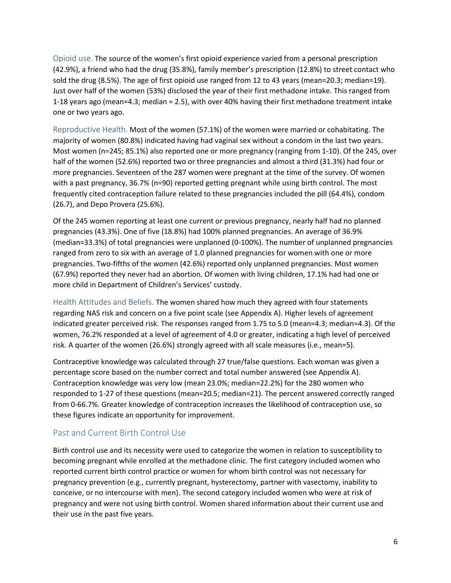<span id="page-6-0"></span>Opioid use. The source of the women's first opioid experience varied from a personal prescription (42.9%), a friend who had the drug (35.8%), family member's prescription (12.8%) to street contact who sold the drug (8.5%). The age of first opioid use ranged from 12 to 43 years (mean=20.3; median=19). Just over half of the women (53%) disclosed the year of their first methadone intake. This ranged from 1-18 years ago (mean=4.3; median = 2.5), with over 40% having their first methadone treatment intake one or two years ago.

<span id="page-6-1"></span>Reproductive Health. Most of the women (57.1%) of the women were married or cohabitating. The majority of women (80.8%) indicated having had vaginal sex without a condom in the last two years. Most women (n=245; 85.1%) also reported one or more pregnancy (ranging from 1-10). Of the 245, over half of the women (52.6%) reported two or three pregnancies and almost a third (31.3%) had four or more pregnancies. Seventeen of the 287 women were pregnant at the time of the survey. Of women with a past pregnancy, 36.7% (n=90) reported getting pregnant while using birth control. The most frequently cited contraception failure related to these pregnancies included the pill (64.4%), condom (26.7), and Depo Provera (25.6%).

Of the 245 women reporting at least one current or previous pregnancy, nearly half had no planned pregnancies (43.3%). One of five (18.8%) had 100% planned pregnancies. An average of 36.9% (median=33.3%) of total pregnancies were unplanned (0-100%). The number of unplanned pregnancies ranged from zero to six with an average of 1.0 planned pregnancies for women with one or more pregnancies. Two-fifths of the women (42.6%) reported only unplanned pregnancies. Most women (67.9%) reported they never had an abortion. Of women with living children, 17.1% had had one or more child in Department of Children's Services' custody.

<span id="page-6-2"></span>Health Attitudes and Beliefs. The women shared how much they agreed with four statements regarding NAS risk and concern on a five point scale (see Appendix A). Higher levels of agreement indicated greater perceived risk. The responses ranged from 1.75 to 5.0 (mean=4.3; median=4.3). Of the women, 76.2% responded at a level of agreement of 4.0 or greater, indicating a high level of perceived risk. A quarter of the women (26.6%) strongly agreed with all scale measures (i.e., mean=5).

Contraceptive knowledge was calculated through 27 true/false questions. Each woman was given a percentage score based on the number correct and total number answered (see Appendix A). Contraception knowledge was very low (mean 23.0%; median=22.2%) for the 280 women who responded to 1-27 of these questions (mean=20.5; median=21). The percent answered correctly ranged from 0-66.7%. Greater knowledge of contraception increases the likelihood of contraception use, so these figures indicate an opportunity for improvement.

## <span id="page-6-3"></span>Past and Current Birth Control Use

Birth control use and its necessity were used to categorize the women in relation to susceptibility to becoming pregnant while enrolled at the methadone clinic. The first category included women who reported current birth control practice or women for whom birth control was not necessary for pregnancy prevention (e.g., currently pregnant, hysterectomy, partner with vasectomy, inability to conceive, or no intercourse with men). The second category included women who were at risk of pregnancy and were not using birth control. Women shared information about their current use and their use in the past five years.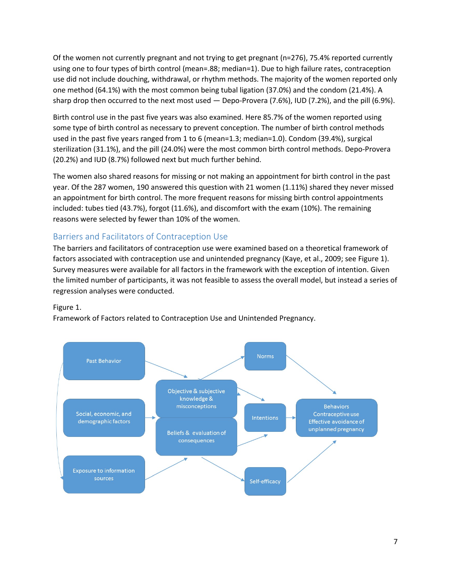Of the women not currently pregnant and not trying to get pregnant (n=276), 75.4% reported currently using one to four types of birth control (mean=.88; median=1). Due to high failure rates, contraception use did not include douching, withdrawal, or rhythm methods. The majority of the women reported only one method (64.1%) with the most common being tubal ligation (37.0%) and the condom (21.4%). A sharp drop then occurred to the next most used — Depo-Provera (7.6%), IUD (7.2%), and the pill (6.9%).

Birth control use in the past five years was also examined. Here 85.7% of the women reported using some type of birth control as necessary to prevent conception. The number of birth control methods used in the past five years ranged from 1 to 6 (mean=1.3; median=1.0). Condom (39.4%), surgical sterilization (31.1%), and the pill (24.0%) were the most common birth control methods. Depo-Provera (20.2%) and IUD (8.7%) followed next but much further behind.

The women also shared reasons for missing or not making an appointment for birth control in the past year. Of the 287 women, 190 answered this question with 21 women (1.11%) shared they never missed an appointment for birth control. The more frequent reasons for missing birth control appointments included: tubes tied (43.7%), forgot (11.6%), and discomfort with the exam (10%). The remaining reasons were selected by fewer than 10% of the women.

## <span id="page-7-0"></span>Barriers and Facilitators of Contraception Use

The barriers and facilitators of contraception use were examined based on a theoretical framework of factors associated with contraception use and unintended pregnancy (Kaye, et al., 2009; see Figure 1). Survey measures were available for all factors in the framework with the exception of intention. Given the limited number of participants, it was not feasible to assess the overall model, but instead a series of regression analyses were conducted.

#### Figure 1.

Framework of Factors related to Contraception Use and Unintended Pregnancy.

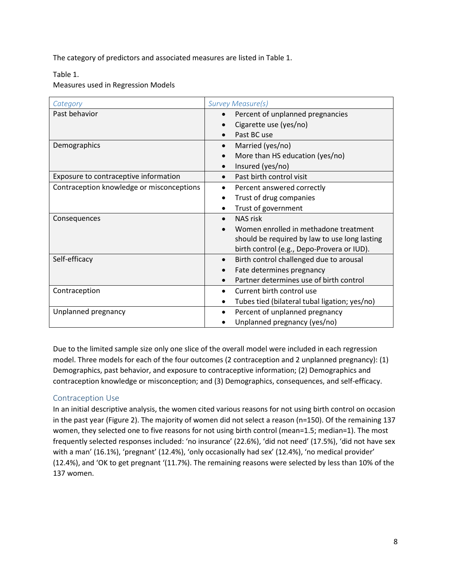The category of predictors and associated measures are listed in Table 1.

Table 1.

Measures used in Regression Models

| Category                                  | <b>Survey Measure(s)</b>                      |  |
|-------------------------------------------|-----------------------------------------------|--|
| Past behavior                             | Percent of unplanned pregnancies              |  |
|                                           | Cigarette use (yes/no)                        |  |
|                                           | Past BC use                                   |  |
| Demographics                              | Married (yes/no)                              |  |
|                                           | More than HS education (yes/no)               |  |
|                                           | Insured (yes/no)                              |  |
| Exposure to contraceptive information     | Past birth control visit<br>$\bullet$         |  |
| Contraception knowledge or misconceptions | Percent answered correctly<br>$\bullet$       |  |
|                                           | Trust of drug companies<br>$\bullet$          |  |
|                                           | Trust of government                           |  |
| Consequences                              | NAS risk                                      |  |
|                                           | Women enrolled in methadone treatment         |  |
|                                           | should be required by law to use long lasting |  |
|                                           | birth control (e.g., Depo-Provera or IUD).    |  |
| Self-efficacy                             | Birth control challenged due to arousal       |  |
|                                           | Fate determines pregnancy                     |  |
|                                           | Partner determines use of birth control       |  |
| Contraception                             | Current birth control use                     |  |
|                                           | Tubes tied (bilateral tubal ligation; yes/no) |  |
| Unplanned pregnancy                       | Percent of unplanned pregnancy                |  |
|                                           | Unplanned pregnancy (yes/no)                  |  |

Due to the limited sample size only one slice of the overall model were included in each regression model. Three models for each of the four outcomes (2 contraception and 2 unplanned pregnancy): (1) Demographics, past behavior, and exposure to contraceptive information; (2) Demographics and contraception knowledge or misconception; and (3) Demographics, consequences, and self-efficacy.

#### <span id="page-8-0"></span>Contraception Use

In an initial descriptive analysis, the women cited various reasons for not using birth control on occasion in the past year (Figure 2). The majority of women did not select a reason (n=150). Of the remaining 137 women, they selected one to five reasons for not using birth control (mean=1.5; median=1). The most frequently selected responses included: 'no insurance' (22.6%), 'did not need' (17.5%), 'did not have sex with a man' (16.1%), 'pregnant' (12.4%), 'only occasionally had sex' (12.4%), 'no medical provider' (12.4%), and 'OK to get pregnant '(11.7%). The remaining reasons were selected by less than 10% of the 137 women.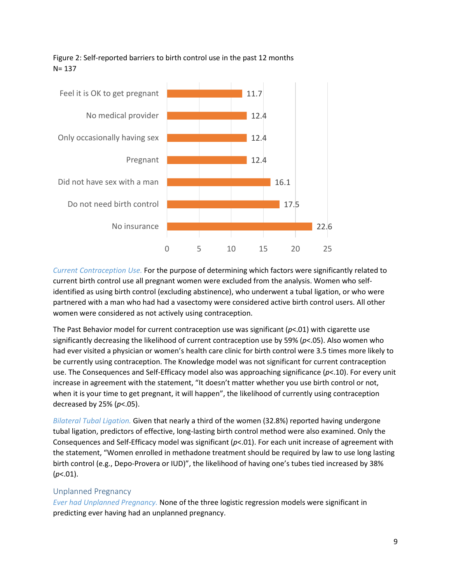

## Figure 2: Self-reported barriers to birth control use in the past 12 months N= 137

*Current Contraception Use.* For the purpose of determining which factors were significantly related to current birth control use all pregnant women were excluded from the analysis. Women who selfidentified as using birth control (excluding abstinence), who underwent a tubal ligation, or who were partnered with a man who had had a vasectomy were considered active birth control users. All other women were considered as not actively using contraception.

The Past Behavior model for current contraception use was significant (*p*<.01) with cigarette use significantly decreasing the likelihood of current contraception use by 59% (*p*<.05). Also women who had ever visited a physician or women's health care clinic for birth control were 3.5 times more likely to be currently using contraception. The Knowledge model was not significant for current contraception use. The Consequences and Self-Efficacy model also was approaching significance (*p*<.10). For every unit increase in agreement with the statement, "It doesn't matter whether you use birth control or not, when it is your time to get pregnant, it will happen", the likelihood of currently using contraception decreased by 25% (*p*<.05).

*Bilateral Tubal Ligation.* Given that nearly a third of the women (32.8%) reported having undergone tubal ligation, predictors of effective, long-lasting birth control method were also examined. Only the Consequences and Self-Efficacy model was significant (*p*<.01). For each unit increase of agreement with the statement, "Women enrolled in methadone treatment should be required by law to use long lasting birth control (e.g., Depo-Provera or IUD)", the likelihood of having one's tubes tied increased by 38% (*p*<.01).

## <span id="page-9-0"></span>Unplanned Pregnancy

*Ever had Unplanned Pregnancy.* None of the three logistic regression models were significant in predicting ever having had an unplanned pregnancy.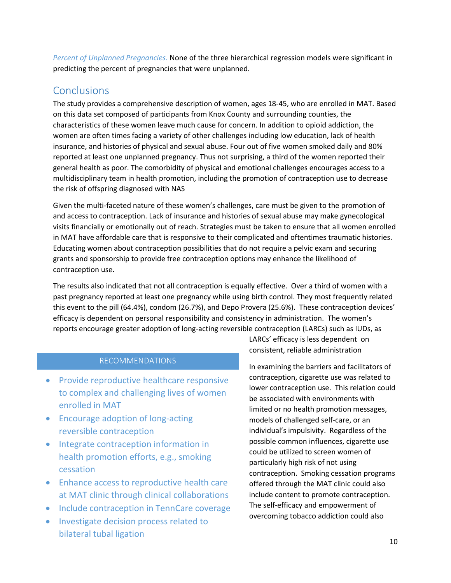*Percent of Unplanned Pregnancies.* None of the three hierarchical regression models were significant in predicting the percent of pregnancies that were unplanned.

## <span id="page-10-0"></span>**Conclusions**

The study provides a comprehensive description of women, ages 18-45, who are enrolled in MAT. Based on this data set composed of participants from Knox County and surrounding counties, the characteristics of these women leave much cause for concern. In addition to opioid addiction, the women are often times facing a variety of other challenges including low education, lack of health insurance, and histories of physical and sexual abuse. Four out of five women smoked daily and 80% reported at least one unplanned pregnancy. Thus not surprising, a third of the women reported their general health as poor. The comorbidity of physical and emotional challenges encourages access to a multidisciplinary team in health promotion, including the promotion of contraception use to decrease the risk of offspring diagnosed with NAS

Given the multi-faceted nature of these women's challenges, care must be given to the promotion of and access to contraception. Lack of insurance and histories of sexual abuse may make gynecological visits financially or emotionally out of reach. Strategies must be taken to ensure that all women enrolled in MAT have affordable care that is responsive to their complicated and oftentimes traumatic histories. Educating women about contraception possibilities that do not require a pelvic exam and securing grants and sponsorship to provide free contraception options may enhance the likelihood of contraception use.

The results also indicated that not all contraception is equally effective. Over a third of women with a past pregnancy reported at least one pregnancy while using birth control. They most frequently related this event to the pill (64.4%), condom (26.7%), and Depo Provera (25.6%). These contraception devices' efficacy is dependent on personal responsibility and consistency in administration. The women's reports encourage greater adoption of long-acting reversible contraception (LARCs) such as IUDs, as

## RECOMMENDATIONS

- Provide reproductive healthcare responsive to complex and challenging lives of women enrolled in MAT
- Encourage adoption of long-acting reversible contraception
- Integrate contraception information in health promotion efforts, e.g., smoking cessation
- Enhance access to reproductive health care at MAT clinic through clinical collaborations
- Include contraception in TennCare coverage
- Investigate decision process related to bilateral tubal ligation

LARCs' efficacy is less dependent on consistent, reliable administration

In examining the barriers and facilitators of contraception, cigarette use was related to lower contraception use. This relation could be associated with environments with limited or no health promotion messages, models of challenged self-care, or an individual's impulsivity. Regardless of the possible common influences, cigarette use could be utilized to screen women of particularly high risk of not using contraception. Smoking cessation programs offered through the MAT clinic could also include content to promote contraception. The self-efficacy and empowerment of overcoming tobacco addiction could also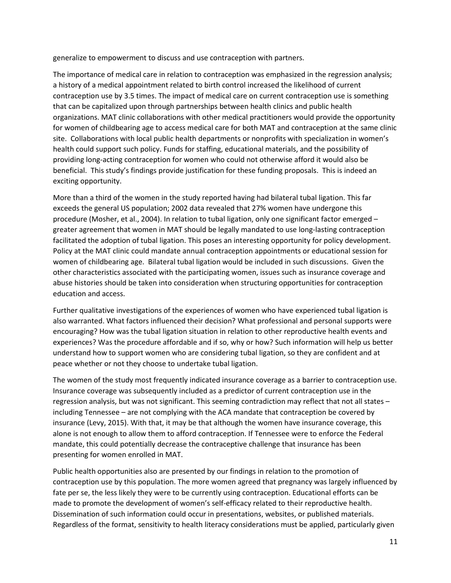generalize to empowerment to discuss and use contraception with partners.

The importance of medical care in relation to contraception was emphasized in the regression analysis; a history of a medical appointment related to birth control increased the likelihood of current contraception use by 3.5 times. The impact of medical care on current contraception use is something that can be capitalized upon through partnerships between health clinics and public health organizations. MAT clinic collaborations with other medical practitioners would provide the opportunity for women of childbearing age to access medical care for both MAT and contraception at the same clinic site. Collaborations with local public health departments or nonprofits with specialization in women's health could support such policy. Funds for staffing, educational materials, and the possibility of providing long-acting contraception for women who could not otherwise afford it would also be beneficial. This study's findings provide justification for these funding proposals. This is indeed an exciting opportunity.

More than a third of the women in the study reported having had bilateral tubal ligation. This far exceeds the general US population; 2002 data revealed that 27% women have undergone this procedure (Mosher, et al., 2004). In relation to tubal ligation, only one significant factor emerged – greater agreement that women in MAT should be legally mandated to use long-lasting contraception facilitated the adoption of tubal ligation. This poses an interesting opportunity for policy development. Policy at the MAT clinic could mandate annual contraception appointments or educational session for women of childbearing age. Bilateral tubal ligation would be included in such discussions. Given the other characteristics associated with the participating women, issues such as insurance coverage and abuse histories should be taken into consideration when structuring opportunities for contraception education and access.

Further qualitative investigations of the experiences of women who have experienced tubal ligation is also warranted. What factors influenced their decision? What professional and personal supports were encouraging? How was the tubal ligation situation in relation to other reproductive health events and experiences? Was the procedure affordable and if so, why or how? Such information will help us better understand how to support women who are considering tubal ligation, so they are confident and at peace whether or not they choose to undertake tubal ligation.

The women of the study most frequently indicated insurance coverage as a barrier to contraception use. Insurance coverage was subsequently included as a predictor of current contraception use in the regression analysis, but was not significant. This seeming contradiction may reflect that not all states – including Tennessee – are not complying with the ACA mandate that contraception be covered by insurance (Levy, 2015). With that, it may be that although the women have insurance coverage, this alone is not enough to allow them to afford contraception. If Tennessee were to enforce the Federal mandate, this could potentially decrease the contraceptive challenge that insurance has been presenting for women enrolled in MAT.

Public health opportunities also are presented by our findings in relation to the promotion of contraception use by this population. The more women agreed that pregnancy was largely influenced by fate per se, the less likely they were to be currently using contraception. Educational efforts can be made to promote the development of women's self-efficacy related to their reproductive health. Dissemination of such information could occur in presentations, websites, or published materials. Regardless of the format, sensitivity to health literacy considerations must be applied, particularly given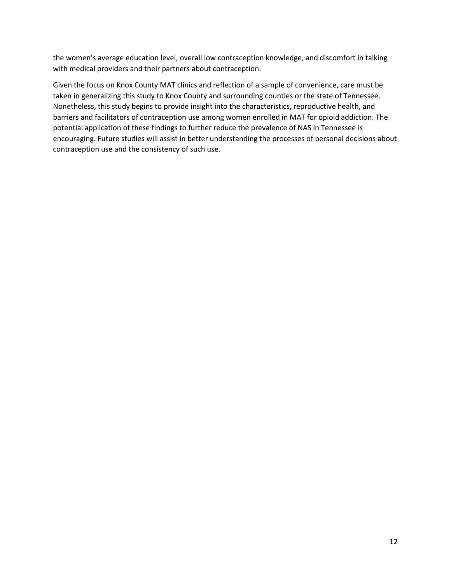the women's average education level, overall low contraception knowledge, and discomfort in talking with medical providers and their partners about contraception.

Given the focus on Knox County MAT clinics and reflection of a sample of convenience, care must be taken in generalizing this study to Knox County and surrounding counties or the state of Tennessee. Nonetheless, this study begins to provide insight into the characteristics, reproductive health, and barriers and facilitators of contraception use among women enrolled in MAT for opioid addiction. The potential application of these findings to further reduce the prevalence of NAS in Tennessee is encouraging. Future studies will assist in better understanding the processes of personal decisions about contraception use and the consistency of such use.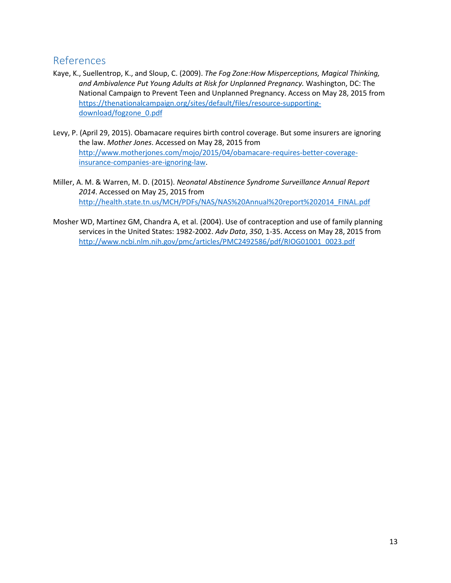## <span id="page-13-0"></span>References

- Kaye, K., Suellentrop, K., and Sloup, C. (2009). *The Fog Zone:How Misperceptions, Magical Thinking, and Ambivalence Put Young Adults at Risk for Unplanned Pregnancy.* Washington, DC: The National Campaign to Prevent Teen and Unplanned Pregnancy. Access on May 28, 2015 from [https://thenationalcampaign.org/sites/default/files/resource-supporting](https://thenationalcampaign.org/sites/default/files/resource-supporting-download/fogzone_0.pdf)[download/fogzone\\_0.pdf](https://thenationalcampaign.org/sites/default/files/resource-supporting-download/fogzone_0.pdf)
- Levy, P. (April 29, 2015). Obamacare requires birth control coverage. But some insurers are ignoring the law. *Mother Jones*. Accessed on May 28, 2015 from [http://www.motherjones.com/mojo/2015/04/obamacare-requires-better-coverage](http://www.motherjones.com/mojo/2015/04/obamacare-requires-better-coverage-insurance-companies-are-ignoring-law)[insurance-companies-are-ignoring-law.](http://www.motherjones.com/mojo/2015/04/obamacare-requires-better-coverage-insurance-companies-are-ignoring-law)
- Miller, A. M. & Warren, M. D. (2015). *Neonatal Abstinence Syndrome Surveillance Annual Report 2014*. Accessed on May 25, 2015 from [http://health.state.tn.us/MCH/PDFs/NAS/NAS%20Annual%20report%202014\\_FINAL.pdf](http://health.state.tn.us/MCH/PDFs/NAS/NAS%20Annual%20report%202014_FINAL.pdf)
- Mosher WD, Martinez GM, Chandra A, et al. (2004). Use of contraception and use of family planning services in the United States: 1982-2002. *Adv Data*, *350*, 1-35. Access on May 28, 2015 from [http://www.ncbi.nlm.nih.gov/pmc/articles/PMC2492586/pdf/RIOG01001\\_0023.pdf](http://www.ncbi.nlm.nih.gov/pmc/articles/PMC2492586/pdf/RIOG01001_0023.pdf)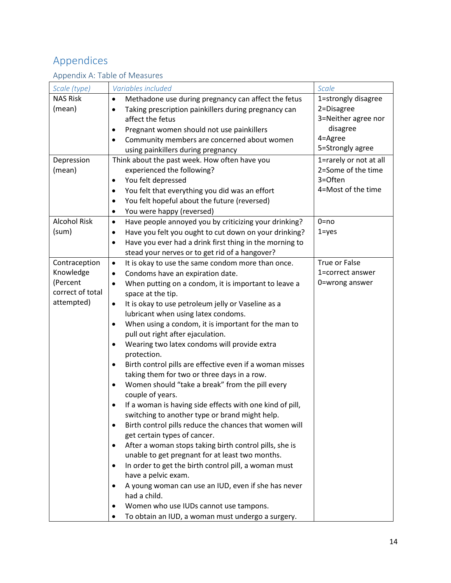# <span id="page-14-0"></span>Appendices

## <span id="page-14-1"></span>Appendix A: Table of Measures

| Scale (type)        | Variables included                                                                                     | Scale                  |
|---------------------|--------------------------------------------------------------------------------------------------------|------------------------|
| <b>NAS Risk</b>     | Methadone use during pregnancy can affect the fetus<br>$\bullet$                                       | 1=strongly disagree    |
| (mean)              | Taking prescription painkillers during pregnancy can<br>$\bullet$                                      | 2=Disagree             |
|                     | affect the fetus                                                                                       | 3=Neither agree nor    |
|                     | Pregnant women should not use painkillers<br>$\bullet$                                                 | disagree               |
|                     | Community members are concerned about women<br>$\bullet$                                               | 4=Agree                |
|                     | using painkillers during pregnancy                                                                     | 5=Strongly agree       |
| Depression          | Think about the past week. How often have you                                                          | 1=rarely or not at all |
| (mean)              | experienced the following?                                                                             | 2=Some of the time     |
|                     | You felt depressed<br>$\bullet$                                                                        | 3=Often                |
|                     | You felt that everything you did was an effort<br>$\bullet$                                            | 4=Most of the time     |
|                     | You felt hopeful about the future (reversed)<br>$\bullet$                                              |                        |
|                     | You were happy (reversed)<br>$\bullet$                                                                 |                        |
| <b>Alcohol Risk</b> | Have people annoyed you by criticizing your drinking?<br>$\bullet$                                     | $0 = no$               |
| (sum)               | Have you felt you ought to cut down on your drinking?<br>$\bullet$                                     | $1 = yes$              |
|                     | Have you ever had a drink first thing in the morning to                                                |                        |
|                     | ٠<br>stead your nerves or to get rid of a hangover?                                                    |                        |
| Contraception       |                                                                                                        | True or False          |
| Knowledge           | It is okay to use the same condom more than once.<br>$\bullet$                                         | 1=correct answer       |
| (Percent            | Condoms have an expiration date.<br>$\bullet$                                                          |                        |
| correct of total    | When putting on a condom, it is important to leave a<br>$\bullet$                                      | 0=wrong answer         |
|                     | space at the tip.                                                                                      |                        |
| attempted)          | It is okay to use petroleum jelly or Vaseline as a<br>$\bullet$<br>lubricant when using latex condoms. |                        |
|                     | When using a condom, it is important for the man to<br>$\bullet$                                       |                        |
|                     | pull out right after ejaculation.                                                                      |                        |
|                     | Wearing two latex condoms will provide extra<br>$\bullet$<br>protection.                               |                        |
|                     | Birth control pills are effective even if a woman misses<br>$\bullet$                                  |                        |
|                     | taking them for two or three days in a row.                                                            |                        |
|                     | Women should "take a break" from the pill every                                                        |                        |
|                     | couple of years.                                                                                       |                        |
|                     | If a woman is having side effects with one kind of pill,<br>٠                                          |                        |
|                     | switching to another type or brand might help.                                                         |                        |
|                     | Birth control pills reduce the chances that women will<br>$\bullet$                                    |                        |
|                     | get certain types of cancer.                                                                           |                        |
|                     | After a woman stops taking birth control pills, she is<br>٠                                            |                        |
|                     | unable to get pregnant for at least two months.                                                        |                        |
|                     | In order to get the birth control pill, a woman must<br>٠                                              |                        |
|                     | have a pelvic exam.                                                                                    |                        |
|                     | A young woman can use an IUD, even if she has never                                                    |                        |
|                     | had a child.                                                                                           |                        |
|                     | Women who use IUDs cannot use tampons.                                                                 |                        |
|                     | To obtain an IUD, a woman must undergo a surgery.                                                      |                        |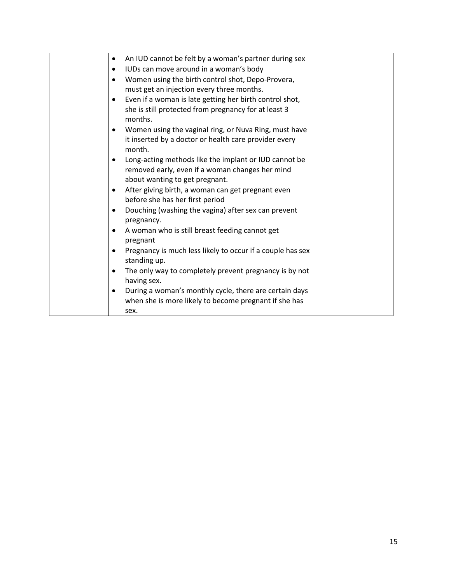| An IUD cannot be felt by a woman's partner during sex<br>$\bullet$   |  |
|----------------------------------------------------------------------|--|
| IUDs can move around in a woman's body<br>$\bullet$                  |  |
| Women using the birth control shot, Depo-Provera,<br>$\bullet$       |  |
| must get an injection every three months.                            |  |
| Even if a woman is late getting her birth control shot,<br>$\bullet$ |  |
| she is still protected from pregnancy for at least 3                 |  |
| months.                                                              |  |
| Women using the vaginal ring, or Nuva Ring, must have<br>$\bullet$   |  |
| it inserted by a doctor or health care provider every                |  |
| month.                                                               |  |
| Long-acting methods like the implant or IUD cannot be<br>$\bullet$   |  |
| removed early, even if a woman changes her mind                      |  |
| about wanting to get pregnant.                                       |  |
| After giving birth, a woman can get pregnant even<br>$\bullet$       |  |
| before she has her first period                                      |  |
| Douching (washing the vagina) after sex can prevent<br>$\bullet$     |  |
| pregnancy.                                                           |  |
| A woman who is still breast feeding cannot get<br>$\bullet$          |  |
| pregnant                                                             |  |
| Pregnancy is much less likely to occur if a couple has sex           |  |
| standing up.                                                         |  |
| The only way to completely prevent pregnancy is by not<br>$\bullet$  |  |
| having sex.                                                          |  |
| During a woman's monthly cycle, there are certain days<br>$\bullet$  |  |
| when she is more likely to become pregnant if she has                |  |
| sex.                                                                 |  |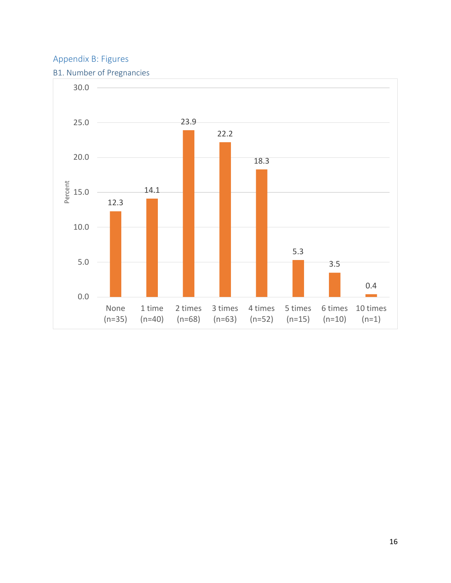## <span id="page-16-0"></span>Appendix B: Figures

## <span id="page-16-1"></span>B1. Number of Pregnancies

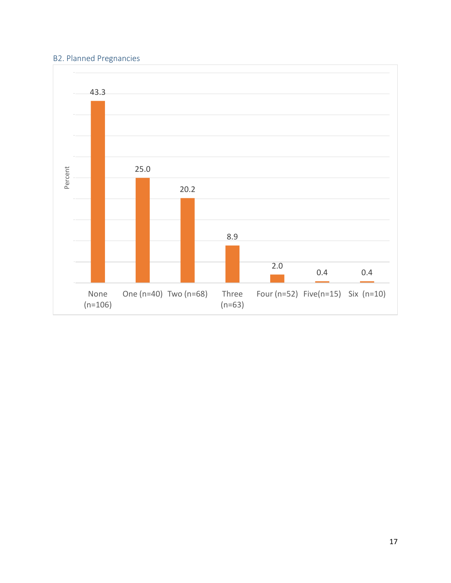## <span id="page-17-0"></span>B2. Planned Pregnancies

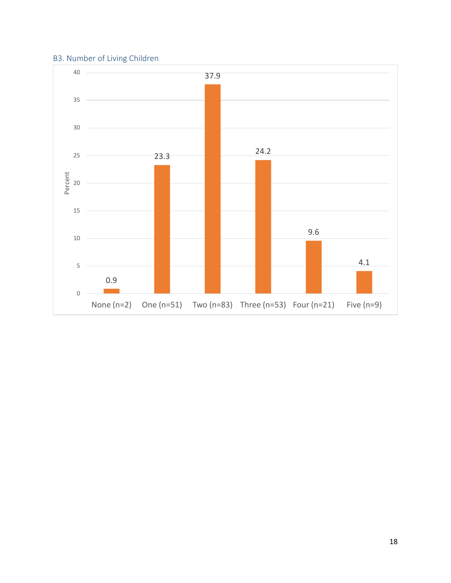## <span id="page-18-0"></span>B3. Number of Living Children

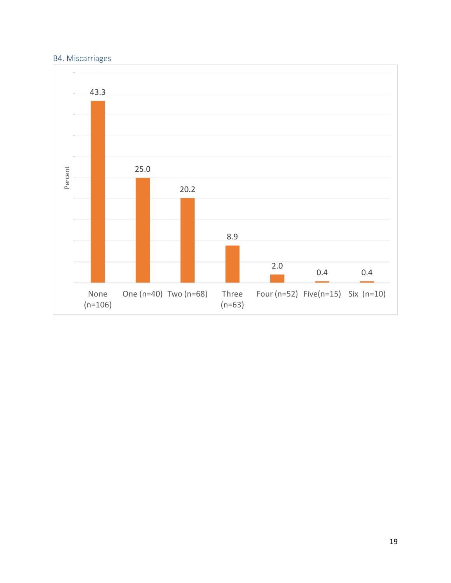## <span id="page-19-0"></span>B4. Miscarriages

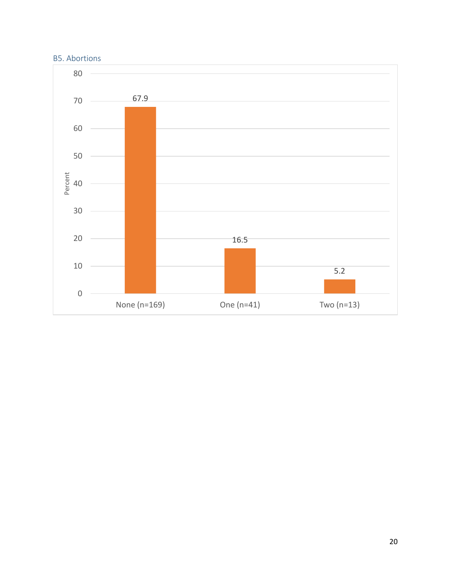## <span id="page-20-0"></span>B5. Abortions

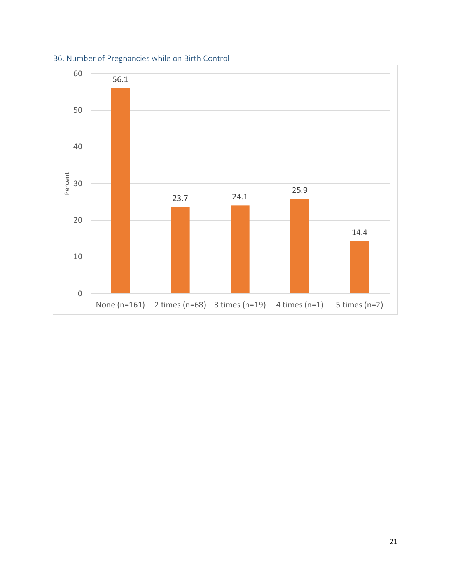

<span id="page-21-0"></span>B6. Number of Pregnancies while on Birth Control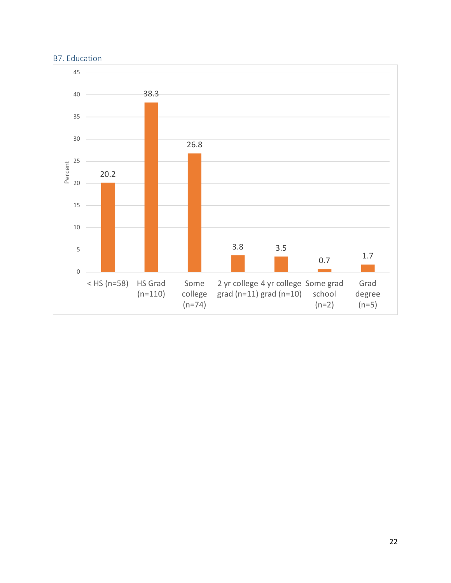<span id="page-22-0"></span>

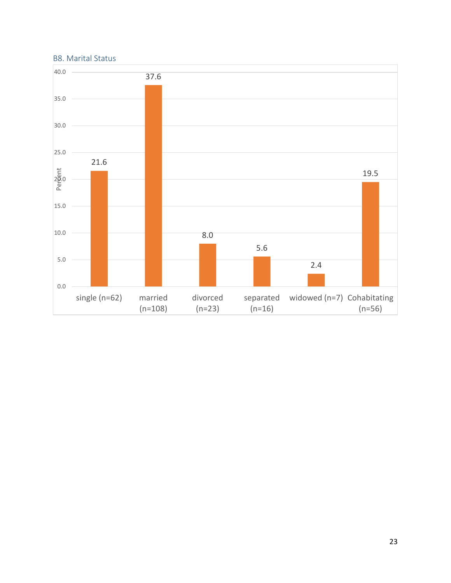#### <span id="page-23-0"></span>B8. Marital Status

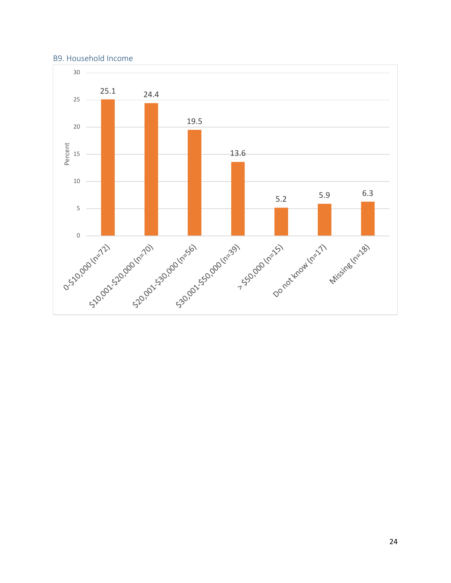#### <span id="page-24-0"></span>B9. Household Income

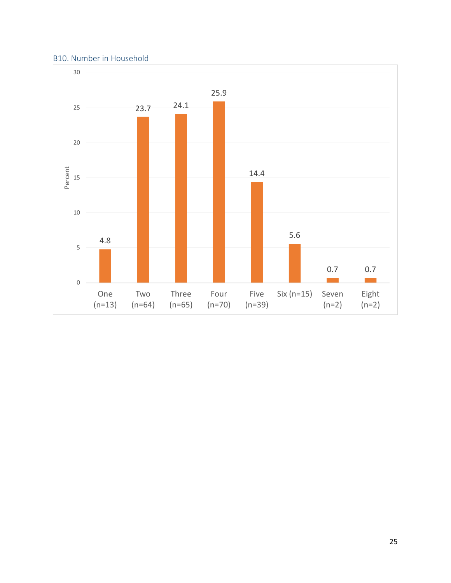#### <span id="page-25-0"></span>B10. Number in Household

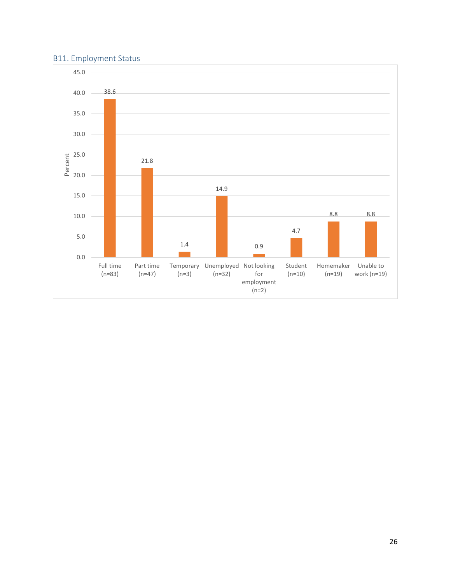## <span id="page-26-0"></span>B11. Employment Status

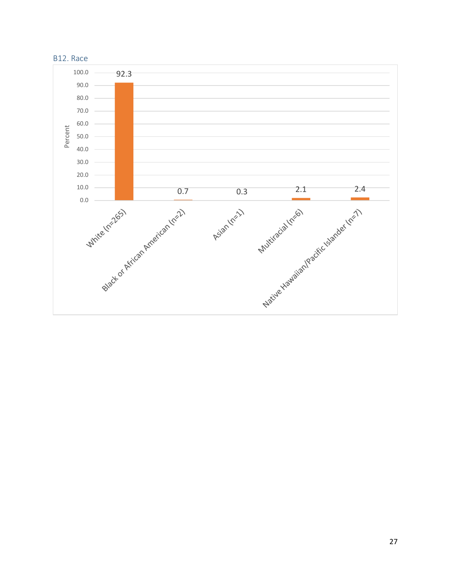<span id="page-27-0"></span>

## 27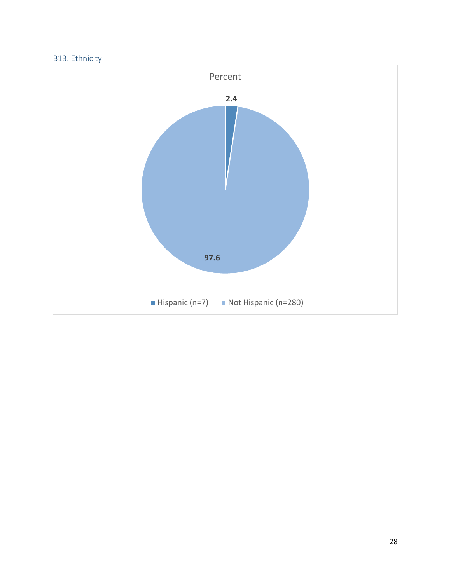## <span id="page-28-0"></span>B13. Ethnicity

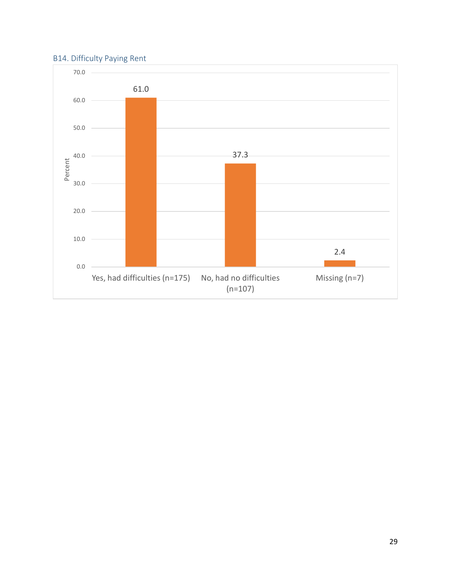## <span id="page-29-0"></span>B14. Difficulty Paying Rent

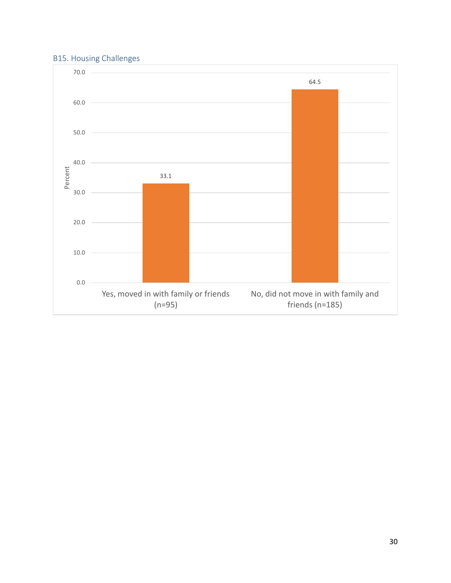## <span id="page-30-0"></span>B15. Housing Challenges

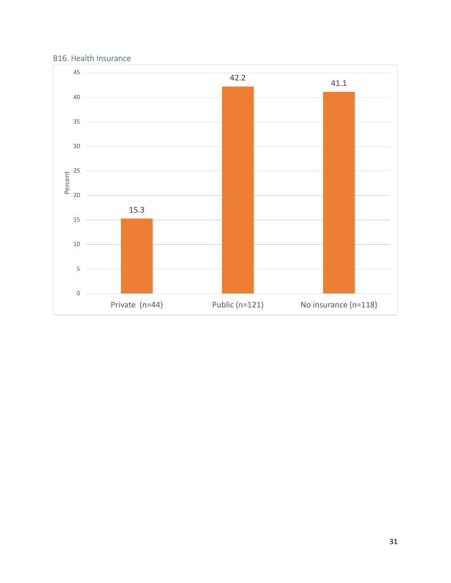#### <span id="page-31-0"></span>B16. Health Insurance

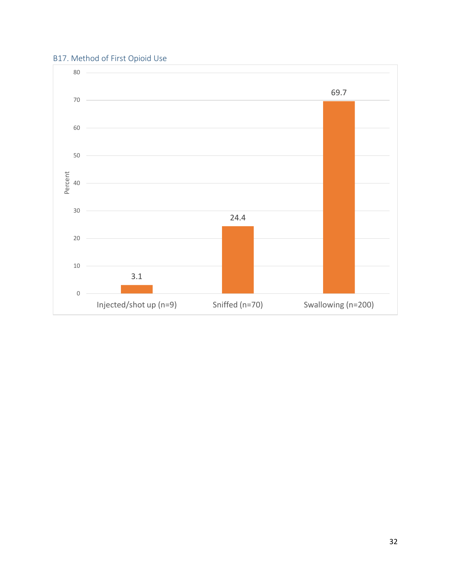## <span id="page-32-0"></span>B17. Method of First Opioid Use

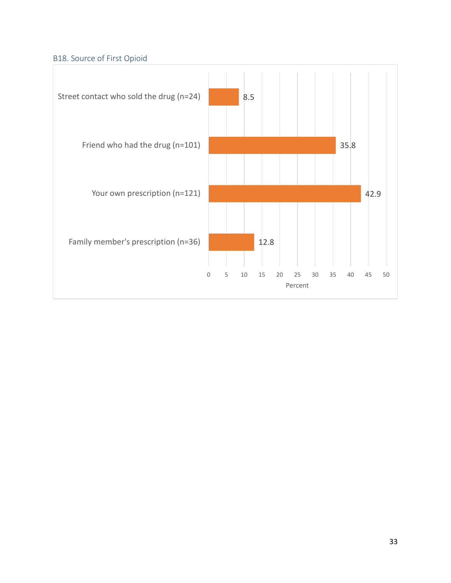## <span id="page-33-0"></span>B18. Source of First Opioid

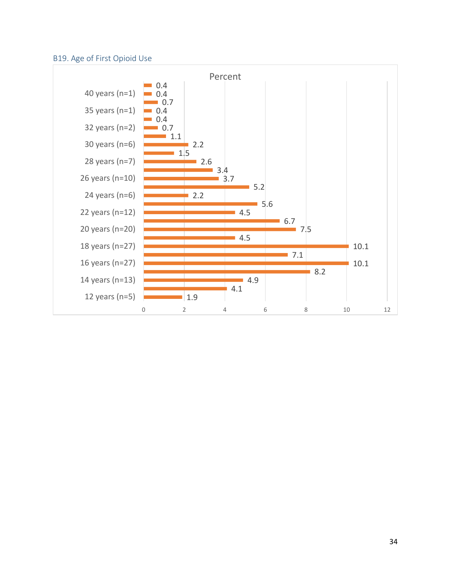## <span id="page-34-0"></span>B19. Age of First Opioid Use

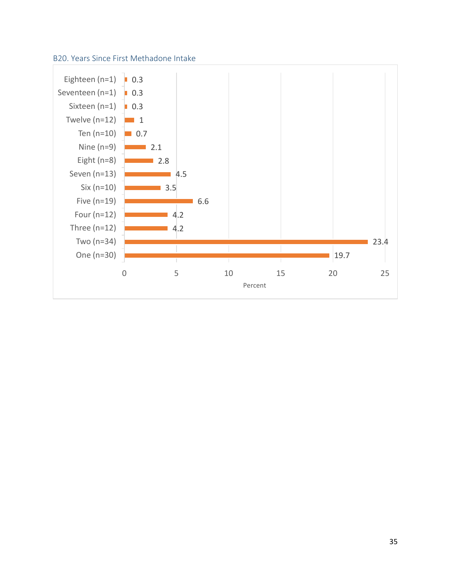#### <span id="page-35-0"></span>B20. Years Since First Methadone Intake